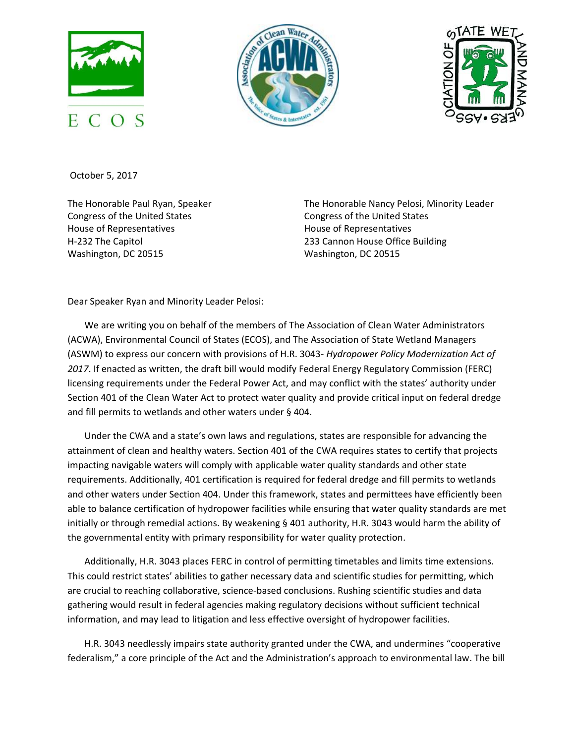





October 5, 2017

The Honorable Paul Ryan, Speaker Congress of the United States House of Representatives H-232 The Capitol Washington, DC 20515

The Honorable Nancy Pelosi, Minority Leader Congress of the United States House of Representatives 233 Cannon House Office Building Washington, DC 20515

Dear Speaker Ryan and Minority Leader Pelosi:

We are writing you on behalf of the members of The Association of Clean Water Administrators (ACWA), Environmental Council of States (ECOS), and The Association of State Wetland Managers (ASWM) to express our concern with provisions of H.R. 3043- *Hydropower Policy Modernization Act of 2017*. If enacted as written, the draft bill would modify Federal Energy Regulatory Commission (FERC) licensing requirements under the Federal Power Act, and may conflict with the states' authority under Section 401 of the Clean Water Act to protect water quality and provide critical input on federal dredge and fill permits to wetlands and other waters under § 404.

Under the CWA and a state's own laws and regulations, states are responsible for advancing the attainment of clean and healthy waters. Section 401 of the CWA requires states to certify that projects impacting navigable waters will comply with applicable water quality standards and other state requirements. Additionally, 401 certification is required for federal dredge and fill permits to wetlands and other waters under Section 404. Under this framework, states and permittees have efficiently been able to balance certification of hydropower facilities while ensuring that water quality standards are met initially or through remedial actions. By weakening § 401 authority, H.R. 3043 would harm the ability of the governmental entity with primary responsibility for water quality protection.

Additionally, H.R. 3043 places FERC in control of permitting timetables and limits time extensions. This could restrict states' abilities to gather necessary data and scientific studies for permitting, which are crucial to reaching collaborative, science-based conclusions. Rushing scientific studies and data gathering would result in federal agencies making regulatory decisions without sufficient technical information, and may lead to litigation and less effective oversight of hydropower facilities.

H.R. 3043 needlessly impairs state authority granted under the CWA, and undermines "cooperative federalism," a core principle of the Act and the Administration's approach to environmental law. The bill